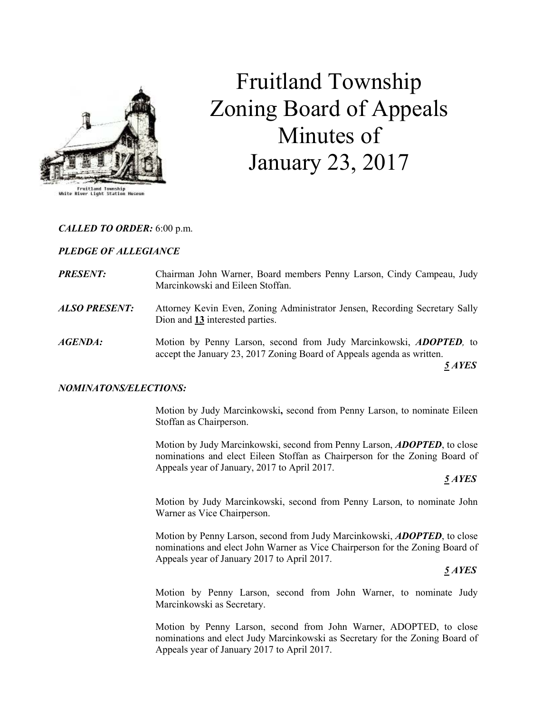

# Fruitland Township Zoning Board of Appeals Minutes of January 23, 2017

## CALLED TO ORDER: 6:00 p.m.

#### PLEDGE OF ALLEGIANCE

- **PRESENT:** Chairman John Warner, Board members Penny Larson, Cindy Campeau, Judy Marcinkowski and Eileen Stoffan.
- ALSO PRESENT: Attorney Kevin Even, Zoning Administrator Jensen, Recording Secretary Sally Dion and 13 interested parties.
- AGENDA: Motion by Penny Larson, second from Judy Marcinkowski, ADOPTED, to accept the January 23, 2017 Zoning Board of Appeals agenda as written.

 $\frac{5}{2}$  AYES

#### NOMINATONS/ELECTIONS:

 Motion by Judy Marcinkowski, second from Penny Larson, to nominate Eileen Stoffan as Chairperson.

 Motion by Judy Marcinkowski, second from Penny Larson, ADOPTED, to close nominations and elect Eileen Stoffan as Chairperson for the Zoning Board of Appeals year of January, 2017 to April 2017.

#### $\frac{5}{2}$  AYES

 Motion by Judy Marcinkowski, second from Penny Larson, to nominate John Warner as Vice Chairperson.

 Motion by Penny Larson, second from Judy Marcinkowski, ADOPTED, to close nominations and elect John Warner as Vice Chairperson for the Zoning Board of Appeals year of January 2017 to April 2017.

 $\frac{5 \text{ A} \text{YES}}{2 \text{ A} \text{YES}}$ 

 Motion by Penny Larson, second from John Warner, to nominate Judy Marcinkowski as Secretary.

 Motion by Penny Larson, second from John Warner, ADOPTED, to close nominations and elect Judy Marcinkowski as Secretary for the Zoning Board of Appeals year of January 2017 to April 2017.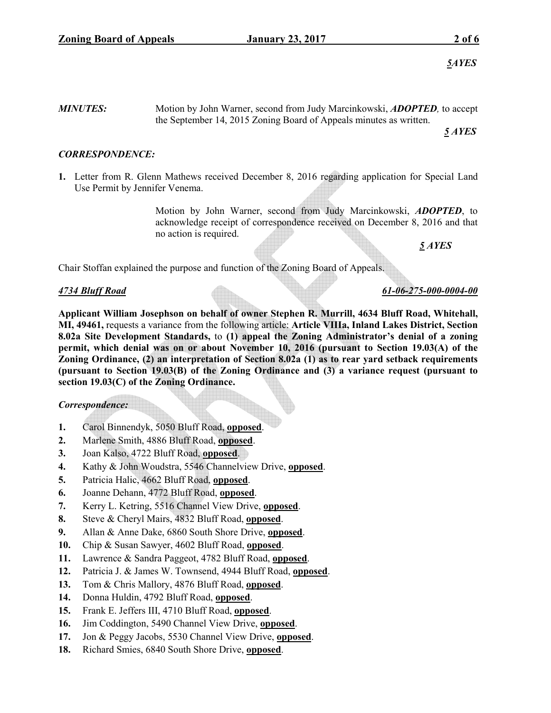**MINUTES:** Motion by John Warner, second from Judy Marcinkowski, **ADOPTED**, to accept the September 14, 2015 Zoning Board of Appeals minutes as written.

 $\frac{5}{2}$  AYES

# CORRESPONDENCE:

1. Letter from R. Glenn Mathews received December 8, 2016 regarding application for Special Land Use Permit by Jennifer Venema.

> Motion by John Warner, second from Judy Marcinkowski, ADOPTED, to acknowledge receipt of correspondence received on December 8, 2016 and that no action is required.

 $5 AYES$ 

Chair Stoffan explained the purpose and function of the Zoning Board of Appeals.

## 4734 Bluff Road 61-06-275-000-0004-00

Applicant William Josephson on behalf of owner Stephen R. Murrill, 4634 Bluff Road, Whitehall, MI, 49461, requests a variance from the following article: Article VIIIa, Inland Lakes District, Section 8.02a Site Development Standards, to (1) appeal the Zoning Administrator's denial of a zoning permit, which denial was on or about November 10, 2016 (pursuant to Section 19.03(A) of the Zoning Ordinance, (2) an interpretation of Section 8.02a (1) as to rear yard setback requirements (pursuant to Section 19.03(B) of the Zoning Ordinance and (3) a variance request (pursuant to section 19.03(C) of the Zoning Ordinance.

## Correspondence:

- 1. Carol Binnendyk, 5050 Bluff Road, opposed.
- 2. Marlene Smith, 4886 Bluff Road, opposed.
- 3. Joan Kalso, 4722 Bluff Road, opposed.
- 4. Kathy & John Woudstra, 5546 Channelview Drive, opposed.
- 5. Patricia Halic, 4662 Bluff Road, opposed.
- 6. Joanne Dehann, 4772 Bluff Road, opposed.
- 7. Kerry L. Ketring, 5516 Channel View Drive, opposed.
- 8. Steve & Cheryl Mairs, 4832 Bluff Road, opposed.
- 9. Allan & Anne Dake, 6860 South Shore Drive, opposed.
- 10. Chip & Susan Sawyer, 4602 Bluff Road, opposed.
- 11. Lawrence & Sandra Paggeot, 4782 Bluff Road, opposed.
- 12. Patricia J. & James W. Townsend, 4944 Bluff Road, opposed.
- 13. Tom & Chris Mallory, 4876 Bluff Road, opposed.
- 14. Donna Huldin, 4792 Bluff Road, opposed.
- 15. Frank E. Jeffers III, 4710 Bluff Road, opposed.
- 16. Jim Coddington, 5490 Channel View Drive, opposed.
- 17. Jon & Peggy Jacobs, 5530 Channel View Drive, opposed.
- 18. Richard Smies, 6840 South Shore Drive, opposed.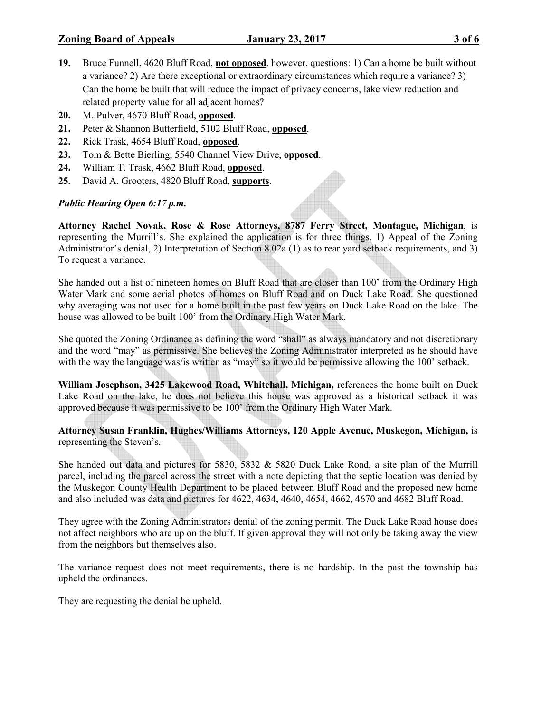- 19. Bruce Funnell, 4620 Bluff Road, not opposed, however, questions: 1) Can a home be built without a variance? 2) Are there exceptional or extraordinary circumstances which require a variance? 3) Can the home be built that will reduce the impact of privacy concerns, lake view reduction and related property value for all adjacent homes?
- 20. M. Pulver, 4670 Bluff Road, opposed.
- 21. Peter & Shannon Butterfield, 5102 Bluff Road, opposed.
- 22. Rick Trask, 4654 Bluff Road, opposed.
- 23. Tom & Bette Bierling, 5540 Channel View Drive, opposed.
- 24. William T. Trask, 4662 Bluff Road, opposed.
- 25. David A. Grooters, 4820 Bluff Road, supports.

# Public Hearing Open 6:17 p.m.

Attorney Rachel Novak, Rose & Rose Attorneys, 8787 Ferry Street, Montague, Michigan, is representing the Murrill's. She explained the application is for three things, 1) Appeal of the Zoning Administrator's denial, 2) Interpretation of Section 8.02a (1) as to rear yard setback requirements, and 3) To request a variance.

She handed out a list of nineteen homes on Bluff Road that are closer than 100' from the Ordinary High Water Mark and some aerial photos of homes on Bluff Road and on Duck Lake Road. She questioned why averaging was not used for a home built in the past few years on Duck Lake Road on the lake. The house was allowed to be built 100' from the Ordinary High Water Mark.

She quoted the Zoning Ordinance as defining the word "shall" as always mandatory and not discretionary and the word "may" as permissive. She believes the Zoning Administrator interpreted as he should have with the way the language was/is written as "may" so it would be permissive allowing the 100' setback.

William Josephson, 3425 Lakewood Road, Whitehall, Michigan, references the home built on Duck Lake Road on the lake, he does not believe this house was approved as a historical setback it was approved because it was permissive to be 100' from the Ordinary High Water Mark.

Attorney Susan Franklin, Hughes/Williams Attorneys, 120 Apple Avenue, Muskegon, Michigan, is representing the Steven's.

She handed out data and pictures for 5830, 5832 & 5820 Duck Lake Road, a site plan of the Murrill parcel, including the parcel across the street with a note depicting that the septic location was denied by the Muskegon County Health Department to be placed between Bluff Road and the proposed new home and also included was data and pictures for 4622, 4634, 4640, 4654, 4662, 4670 and 4682 Bluff Road.

They agree with the Zoning Administrators denial of the zoning permit. The Duck Lake Road house does not affect neighbors who are up on the bluff. If given approval they will not only be taking away the view from the neighbors but themselves also.

The variance request does not meet requirements, there is no hardship. In the past the township has upheld the ordinances.

They are requesting the denial be upheld.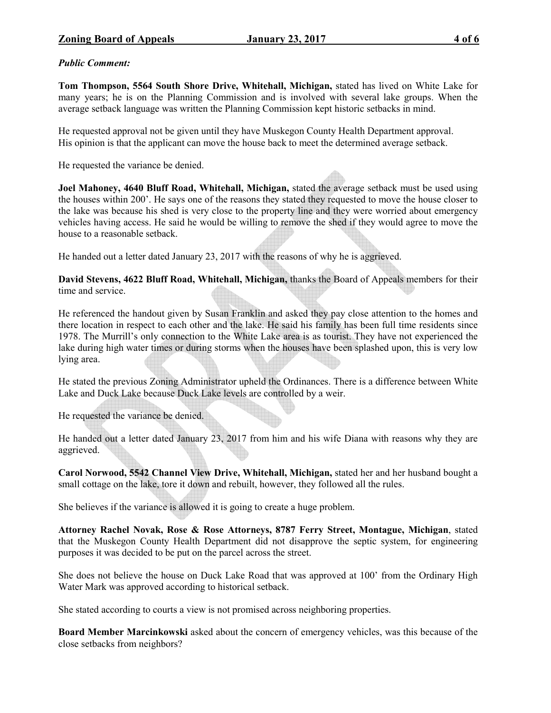## Public Comment:

Tom Thompson, 5564 South Shore Drive, Whitehall, Michigan, stated has lived on White Lake for many years; he is on the Planning Commission and is involved with several lake groups. When the average setback language was written the Planning Commission kept historic setbacks in mind.

He requested approval not be given until they have Muskegon County Health Department approval. His opinion is that the applicant can move the house back to meet the determined average setback.

He requested the variance be denied.

Joel Mahoney, 4640 Bluff Road, Whitehall, Michigan, stated the average setback must be used using the houses within 200'. He says one of the reasons they stated they requested to move the house closer to the lake was because his shed is very close to the property line and they were worried about emergency vehicles having access. He said he would be willing to remove the shed if they would agree to move the house to a reasonable setback.

He handed out a letter dated January 23, 2017 with the reasons of why he is aggrieved.

David Stevens, 4622 Bluff Road, Whitehall, Michigan, thanks the Board of Appeals members for their time and service.

He referenced the handout given by Susan Franklin and asked they pay close attention to the homes and there location in respect to each other and the lake. He said his family has been full time residents since 1978. The Murrill's only connection to the White Lake area is as tourist. They have not experienced the lake during high water times or during storms when the houses have been splashed upon, this is very low lying area.

He stated the previous Zoning Administrator upheld the Ordinances. There is a difference between White Lake and Duck Lake because Duck Lake levels are controlled by a weir.

He requested the variance be denied.

He handed out a letter dated January 23, 2017 from him and his wife Diana with reasons why they are aggrieved.

Carol Norwood, 5542 Channel View Drive, Whitehall, Michigan, stated her and her husband bought a small cottage on the lake, tore it down and rebuilt, however, they followed all the rules.

She believes if the variance is allowed it is going to create a huge problem.

Attorney Rachel Novak, Rose & Rose Attorneys, 8787 Ferry Street, Montague, Michigan, stated that the Muskegon County Health Department did not disapprove the septic system, for engineering purposes it was decided to be put on the parcel across the street.

She does not believe the house on Duck Lake Road that was approved at 100' from the Ordinary High Water Mark was approved according to historical setback.

She stated according to courts a view is not promised across neighboring properties.

Board Member Marcinkowski asked about the concern of emergency vehicles, was this because of the close setbacks from neighbors?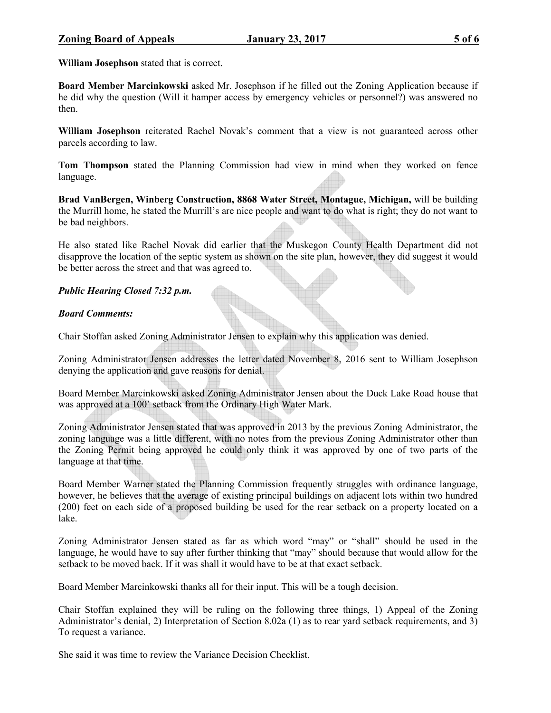William Josephson stated that is correct.

Board Member Marcinkowski asked Mr. Josephson if he filled out the Zoning Application because if he did why the question (Will it hamper access by emergency vehicles or personnel?) was answered no then.

William Josephson reiterated Rachel Novak's comment that a view is not guaranteed across other parcels according to law.

Tom Thompson stated the Planning Commission had view in mind when they worked on fence language.

Brad VanBergen, Winberg Construction, 8868 Water Street, Montague, Michigan, will be building the Murrill home, he stated the Murrill's are nice people and want to do what is right; they do not want to be bad neighbors.

He also stated like Rachel Novak did earlier that the Muskegon County Health Department did not disapprove the location of the septic system as shown on the site plan, however, they did suggest it would be better across the street and that was agreed to.

## Public Hearing Closed 7:32 p.m.

#### Board Comments:

Chair Stoffan asked Zoning Administrator Jensen to explain why this application was denied.

Zoning Administrator Jensen addresses the letter dated November 8, 2016 sent to William Josephson denying the application and gave reasons for denial.

Board Member Marcinkowski asked Zoning Administrator Jensen about the Duck Lake Road house that was approved at a 100' setback from the Ordinary High Water Mark.

Zoning Administrator Jensen stated that was approved in 2013 by the previous Zoning Administrator, the zoning language was a little different, with no notes from the previous Zoning Administrator other than the Zoning Permit being approved he could only think it was approved by one of two parts of the language at that time.

Board Member Warner stated the Planning Commission frequently struggles with ordinance language, however, he believes that the average of existing principal buildings on adjacent lots within two hundred (200) feet on each side of a proposed building be used for the rear setback on a property located on a lake.

Zoning Administrator Jensen stated as far as which word "may" or "shall" should be used in the language, he would have to say after further thinking that "may" should because that would allow for the setback to be moved back. If it was shall it would have to be at that exact setback.

Board Member Marcinkowski thanks all for their input. This will be a tough decision.

Chair Stoffan explained they will be ruling on the following three things, 1) Appeal of the Zoning Administrator's denial, 2) Interpretation of Section 8.02a (1) as to rear yard setback requirements, and 3) To request a variance.

She said it was time to review the Variance Decision Checklist.